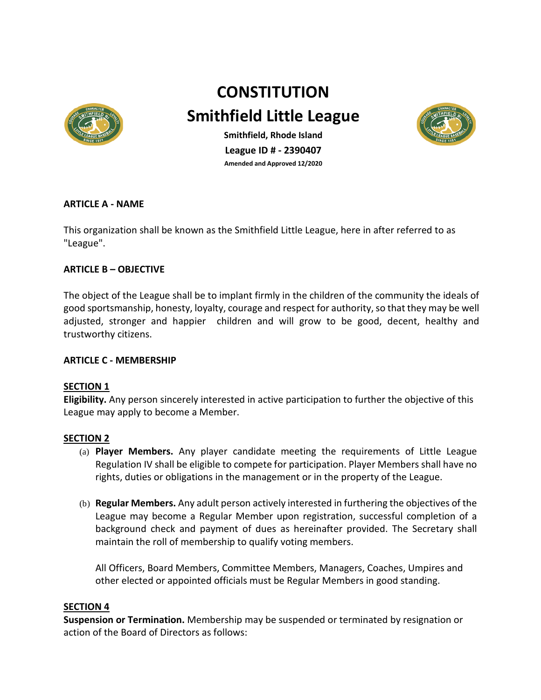

# **CONSTITUTION**

**Smithfield Little League**



**Smithfield, Rhode Island League ID # - 2390407 Amended and Approved 12/2020**

## **ARTICLE A - NAME**

This organization shall be known as the Smithfield Little League, here in after referred to as "League".

## **ARTICLE B – OBJECTIVE**

The object of the League shall be to implant firmly in the children of the community the ideals of good sportsmanship, honesty, loyalty, courage and respect for authority, so that they may be well adjusted, stronger and happier children and will grow to be good, decent, healthy and trustworthy citizens.

## **ARTICLE C - MEMBERSHIP**

## **SECTION 1**

**Eligibility.** Any person sincerely interested in active participation to further the objective of this League may apply to become a Member.

## **SECTION 2**

- (a) **Player Members.** Any player candidate meeting the requirements of Little League Regulation IV shall be eligible to compete for participation. Player Members shall have no rights, duties or obligations in the management or in the property of the League.
- (b) **Regular Members.** Any adult person actively interested in furthering the objectives of the League may become a Regular Member upon registration, successful completion of a background check and payment of dues as hereinafter provided. The Secretary shall maintain the roll of membership to qualify voting members.

All Officers, Board Members, Committee Members, Managers, Coaches, Umpires and other elected or appointed officials must be Regular Members in good standing.

#### **SECTION 4**

**Suspension or Termination.** Membership may be suspended or terminated by resignation or action of the Board of Directors as follows: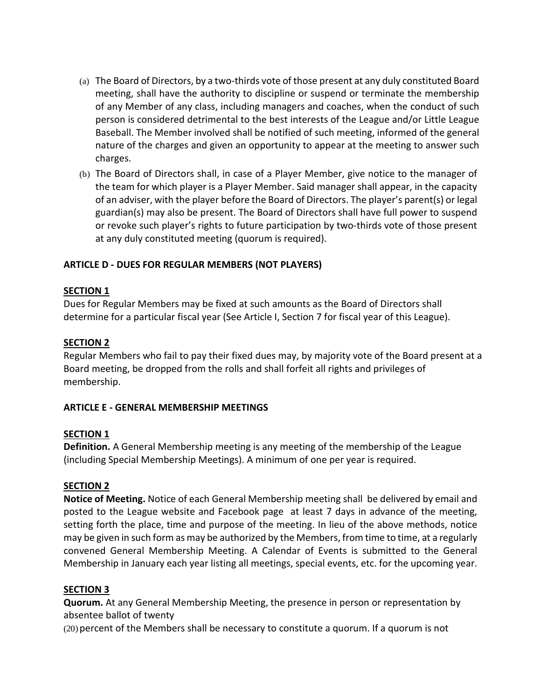- (a) The Board of Directors, by a two-thirds vote of those present at any duly constituted Board meeting, shall have the authority to discipline or suspend or terminate the membership of any Member of any class, including managers and coaches, when the conduct of such person is considered detrimental to the best interests of the League and/or Little League Baseball. The Member involved shall be notified of such meeting, informed of the general nature of the charges and given an opportunity to appear at the meeting to answer such charges.
- (b) The Board of Directors shall, in case of a Player Member, give notice to the manager of the team for which player is a Player Member. Said manager shall appear, in the capacity of an adviser, with the player before the Board of Directors. The player's parent(s) or legal guardian(s) may also be present. The Board of Directors shall have full power to suspend or revoke such player's rights to future participation by two-thirds vote of those present at any duly constituted meeting (quorum is required).

# **ARTICLE D - DUES FOR REGULAR MEMBERS (NOT PLAYERS)**

## **SECTION 1**

Dues for Regular Members may be fixed at such amounts as the Board of Directors shall determine for a particular fiscal year (See Article I, Section 7 for fiscal year of this League).

## **SECTION 2**

Regular Members who fail to pay their fixed dues may, by majority vote of the Board present at a Board meeting, be dropped from the rolls and shall forfeit all rights and privileges of membership.

## **ARTICLE E - GENERAL MEMBERSHIP MEETINGS**

## **SECTION 1**

**Definition.** A General Membership meeting is any meeting of the membership of the League (including Special Membership Meetings). A minimum of one per year is required.

## **SECTION 2**

**Notice of Meeting.** Notice of each General Membership meeting shall be delivered by email and posted to the League website and Facebook page at least 7 days in advance of the meeting, setting forth the place, time and purpose of the meeting. In lieu of the above methods, notice may be given in such form as may be authorized by the Members, from time to time, at a regularly convened General Membership Meeting. A Calendar of Events is submitted to the General Membership in January each year listing all meetings, special events, etc. for the upcoming year.

## **SECTION 3**

**Quorum.** At any General Membership Meeting, the presence in person or representation by absentee ballot of twenty

(20) percent of the Members shall be necessary to constitute a quorum. If a quorum is not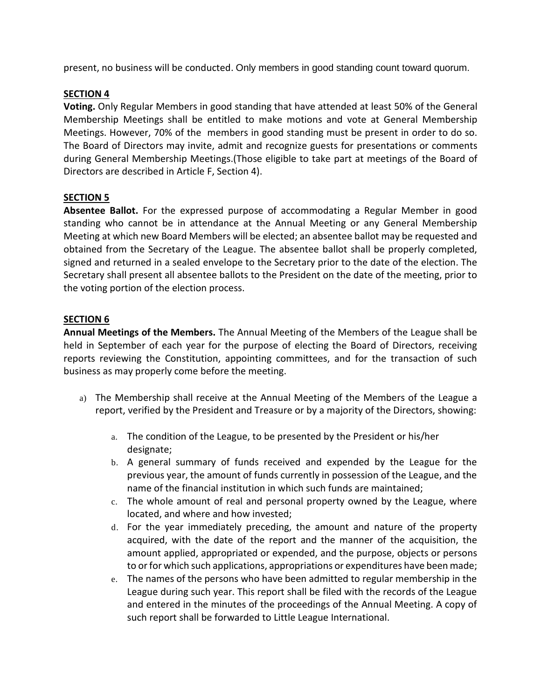present, no business will be conducted. Only members in good standing count toward quorum.

## **SECTION 4**

**Voting.** Only Regular Members in good standing that have attended at least 50% of the General Membership Meetings shall be entitled to make motions and vote at General Membership Meetings. However, 70% of the members in good standing must be present in order to do so. The Board of Directors may invite, admit and recognize guests for presentations or comments during General Membership Meetings.(Those eligible to take part at meetings of the Board of Directors are described in Article F, Section 4).

## **SECTION 5**

**Absentee Ballot.** For the expressed purpose of accommodating a Regular Member in good standing who cannot be in attendance at the Annual Meeting or any General Membership Meeting at which new Board Members will be elected; an absentee ballot may be requested and obtained from the Secretary of the League. The absentee ballot shall be properly completed, signed and returned in a sealed envelope to the Secretary prior to the date of the election. The Secretary shall present all absentee ballots to the President on the date of the meeting, prior to the voting portion of the election process.

## **SECTION 6**

**Annual Meetings of the Members.** The Annual Meeting of the Members of the League shall be held in September of each year for the purpose of electing the Board of Directors, receiving reports reviewing the Constitution, appointing committees, and for the transaction of such business as may properly come before the meeting.

- a) The Membership shall receive at the Annual Meeting of the Members of the League a report, verified by the President and Treasure or by a majority of the Directors, showing:
	- a. The condition of the League, to be presented by the President or his/her designate;
	- b. A general summary of funds received and expended by the League for the previous year, the amount of funds currently in possession of the League, and the name of the financial institution in which such funds are maintained;
	- c. The whole amount of real and personal property owned by the League, where located, and where and how invested;
	- d. For the year immediately preceding, the amount and nature of the property acquired, with the date of the report and the manner of the acquisition, the amount applied, appropriated or expended, and the purpose, objects or persons to or for which such applications, appropriations or expenditures have been made;
	- e. The names of the persons who have been admitted to regular membership in the League during such year. This report shall be filed with the records of the League and entered in the minutes of the proceedings of the Annual Meeting. A copy of such report shall be forwarded to Little League International.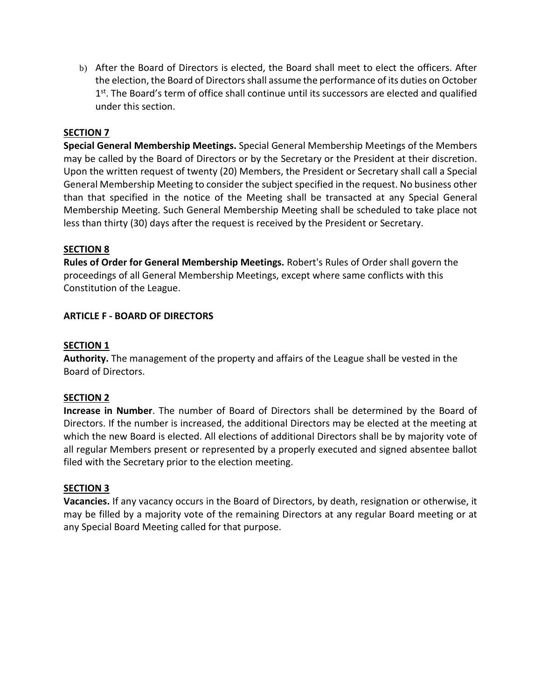b) After the Board of Directors is elected, the Board shall meet to elect the officers. After the election, the Board of Directors shall assume the performance of its duties on October  $1<sup>st</sup>$ . The Board's term of office shall continue until its successors are elected and qualified under this section.

## **SECTION 7**

**Special General Membership Meetings.** Special General Membership Meetings of the Members may be called by the Board of Directors or by the Secretary or the President at their discretion. Upon the written request of twenty (20) Members, the President or Secretary shall call a Special General Membership Meeting to consider the subject specified in the request. No business other than that specified in the notice of the Meeting shall be transacted at any Special General Membership Meeting. Such General Membership Meeting shall be scheduled to take place not less than thirty (30) days after the request is received by the President or Secretary.

## **SECTION 8**

**Rules of Order for General Membership Meetings.** Robert's Rules of Order shall govern the proceedings of all General Membership Meetings, except where same conflicts with this Constitution of the League.

## **ARTICLE F - BOARD OF DIRECTORS**

#### **SECTION 1**

**Authority.** The management of the property and affairs of the League shall be vested in the Board of Directors.

#### **SECTION 2**

**Increase in Number**. The number of Board of Directors shall be determined by the Board of Directors. If the number is increased, the additional Directors may be elected at the meeting at which the new Board is elected. All elections of additional Directors shall be by majority vote of all regular Members present or represented by a properly executed and signed absentee ballot filed with the Secretary prior to the election meeting.

#### **SECTION 3**

**Vacancies.** If any vacancy occurs in the Board of Directors, by death, resignation or otherwise, it may be filled by a majority vote of the remaining Directors at any regular Board meeting or at any Special Board Meeting called for that purpose.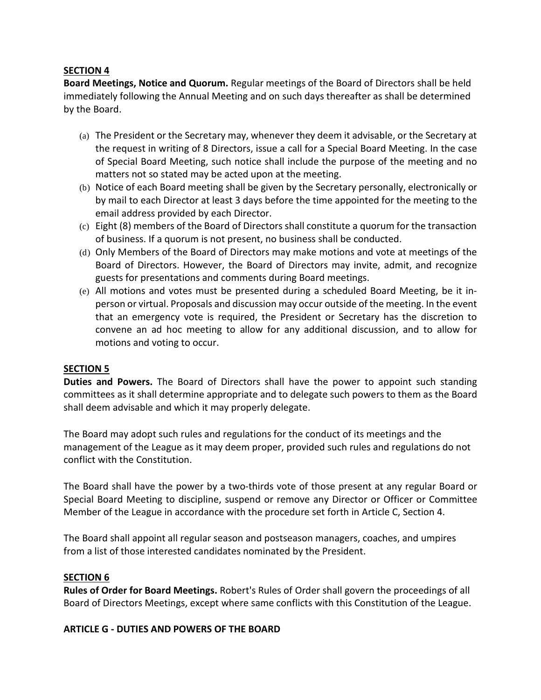**Board Meetings, Notice and Quorum.** Regular meetings of the Board of Directors shall be held immediately following the Annual Meeting and on such days thereafter as shall be determined by the Board.

- (a) The President or the Secretary may, whenever they deem it advisable, or the Secretary at the request in writing of 8 Directors, issue a call for a Special Board Meeting. In the case of Special Board Meeting, such notice shall include the purpose of the meeting and no matters not so stated may be acted upon at the meeting.
- (b) Notice of each Board meeting shall be given by the Secretary personally, electronically or by mail to each Director at least 3 days before the time appointed for the meeting to the email address provided by each Director.
- (c) Eight (8) members of the Board of Directors shall constitute a quorum for the transaction of business. If a quorum is not present, no business shall be conducted.
- (d) Only Members of the Board of Directors may make motions and vote at meetings of the Board of Directors. However, the Board of Directors may invite, admit, and recognize guests for presentations and comments during Board meetings.
- (e) All motions and votes must be presented during a scheduled Board Meeting, be it inperson or virtual. Proposals and discussion may occur outside of the meeting. In the event that an emergency vote is required, the President or Secretary has the discretion to convene an ad hoc meeting to allow for any additional discussion, and to allow for motions and voting to occur.

## **SECTION 5**

**Duties and Powers.** The Board of Directors shall have the power to appoint such standing committees as it shall determine appropriate and to delegate such powers to them as the Board shall deem advisable and which it may properly delegate.

The Board may adopt such rules and regulations for the conduct of its meetings and the management of the League as it may deem proper, provided such rules and regulations do not conflict with the Constitution.

The Board shall have the power by a two-thirds vote of those present at any regular Board or Special Board Meeting to discipline, suspend or remove any Director or Officer or Committee Member of the League in accordance with the procedure set forth in Article C, Section 4.

The Board shall appoint all regular season and postseason managers, coaches, and umpires from a list of those interested candidates nominated by the President.

## **SECTION 6**

**Rules of Order for Board Meetings.** Robert's Rules of Order shall govern the proceedings of all Board of Directors Meetings, except where same conflicts with this Constitution of the League.

## **ARTICLE G - DUTIES AND POWERS OF THE BOARD**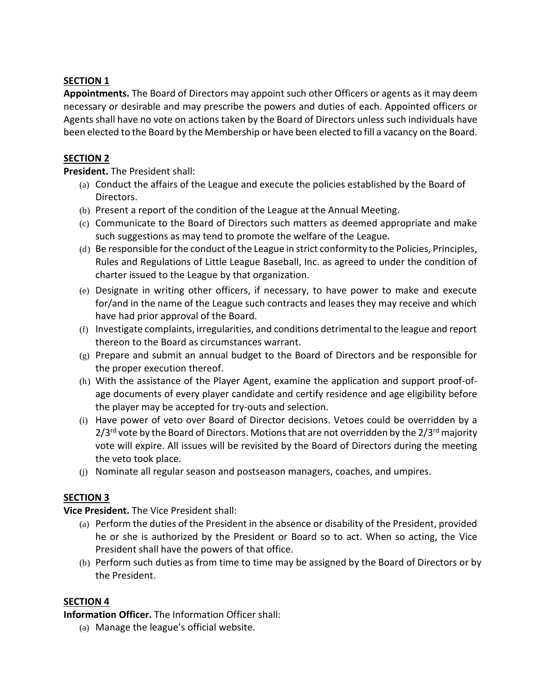**Appointments.** The Board of Directors may appoint such other Officers or agents as it may deem necessary or desirable and may prescribe the powers and duties of each. Appointed officers or Agents shall have no vote on actions taken by the Board of Directors unless such individuals have been elected to the Board by the Membership or have been elected to fill a vacancy on the Board.

## **SECTION 2**

**President.** The President shall:

- (a) Conduct the affairs of the League and execute the policies established by the Board of Directors.
- (b) Present a report of the condition of the League at the Annual Meeting.
- (c) Communicate to the Board of Directors such matters as deemed appropriate and make such suggestions as may tend to promote the welfare of the League.
- (d) Be responsible for the conduct of the League in strict conformity to the Policies, Principles, Rules and Regulations of Little League Baseball, Inc. as agreed to under the condition of charter issued to the League by that organization.
- (e) Designate in writing other officers, if necessary, to have power to make and execute for/and in the name of the League such contracts and leases they may receive and which have had prior approval of the Board.
- (f) Investigate complaints, irregularities, and conditions detrimental to the league and report thereon to the Board as circumstances warrant.
- $(g)$  Prepare and submit an annual budget to the Board of Directors and be responsible for the proper execution thereof.
- (h) With the assistance of the Player Agent, examine the application and support proof-ofage documents of every player candidate and certify residence and age eligibility before the player may be accepted for try-outs and selection.
- (i) Have power of veto over Board of Director decisions. Vetoes could be overridden by a  $2/3$ <sup>rd</sup> vote by the Board of Directors. Motions that are not overridden by the  $2/3$ <sup>rd</sup> majority vote will expire. All issues will be revisited by the Board of Directors during the meeting the veto took place.
- (j) Nominate all regular season and postseason managers, coaches, and umpires.

# **SECTION 3**

**Vice President.** The Vice President shall:

- (a) Perform the duties of the President in the absence or disability of the President, provided he or she is authorized by the President or Board so to act. When so acting, the Vice President shall have the powers of that office.
- (b) Perform such duties as from time to time may be assigned by the Board of Directors or by the President.

## **SECTION 4**

**Information Officer.** The Information Officer shall:

(a) Manage the league's official website.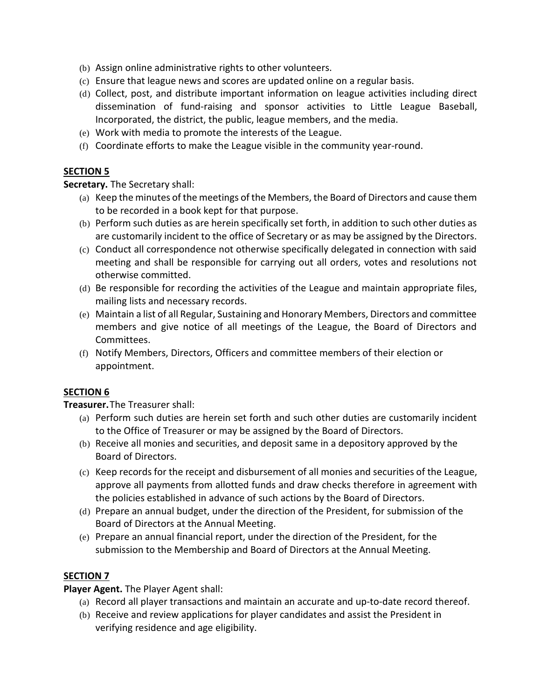- (b) Assign online administrative rights to other volunteers.
- (c) Ensure that league news and scores are updated online on a regular basis.
- (d) Collect, post, and distribute important information on league activities including direct dissemination of fund-raising and sponsor activities to Little League Baseball, Incorporated, the district, the public, league members, and the media.
- (e) Work with media to promote the interests of the League.
- (f) Coordinate efforts to make the League visible in the community year-round.

**Secretary.** The Secretary shall:

- (a) Keep the minutes of the meetings of the Members, the Board of Directors and cause them to be recorded in a book kept for that purpose.
- (b) Perform such duties as are herein specifically set forth, in addition to such other duties as are customarily incident to the office of Secretary or as may be assigned by the Directors.
- (c) Conduct all correspondence not otherwise specifically delegated in connection with said meeting and shall be responsible for carrying out all orders, votes and resolutions not otherwise committed.
- (d) Be responsible for recording the activities of the League and maintain appropriate files, mailing lists and necessary records.
- (e) Maintain a list of all Regular, Sustaining and Honorary Members, Directors and committee members and give notice of all meetings of the League, the Board of Directors and Committees.
- (f) Notify Members, Directors, Officers and committee members of their election or appointment.

## **SECTION 6**

**Treasurer.**The Treasurer shall:

- (a) Perform such duties are herein set forth and such other duties are customarily incident to the Office of Treasurer or may be assigned by the Board of Directors.
- (b) Receive all monies and securities, and deposit same in a depository approved by the Board of Directors.
- (c) Keep records for the receipt and disbursement of all monies and securities of the League, approve all payments from allotted funds and draw checks therefore in agreement with the policies established in advance of such actions by the Board of Directors.
- (d) Prepare an annual budget, under the direction of the President, for submission of the Board of Directors at the Annual Meeting.
- (e) Prepare an annual financial report, under the direction of the President, for the submission to the Membership and Board of Directors at the Annual Meeting.

## **SECTION 7**

**Player Agent.** The Player Agent shall:

- (a) Record all player transactions and maintain an accurate and up-to-date record thereof.
- (b) Receive and review applications for player candidates and assist the President in verifying residence and age eligibility.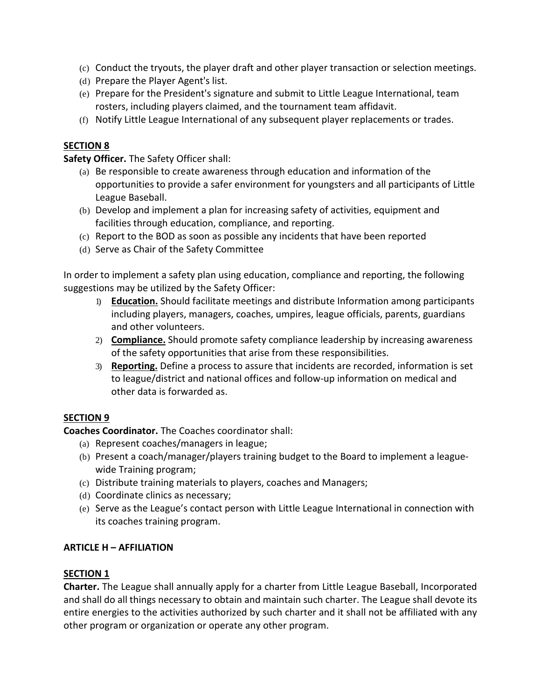- (c) Conduct the tryouts, the player draft and other player transaction or selection meetings.
- (d) Prepare the Player Agent's list.
- (e) Prepare for the President's signature and submit to Little League International, team rosters, including players claimed, and the tournament team affidavit.
- (f) Notify Little League International of any subsequent player replacements or trades.

**Safety Officer.** The Safety Officer shall:

- (a) Be responsible to create awareness through education and information of the opportunities to provide a safer environment for youngsters and all participants of Little League Baseball.
- (b) Develop and implement a plan for increasing safety of activities, equipment and facilities through education, compliance, and reporting.
- (c) Report to the BOD as soon as possible any incidents that have been reported
- (d) Serve as Chair of the Safety Committee

In order to implement a safety plan using education, compliance and reporting, the following suggestions may be utilized by the Safety Officer:

- 1) **Education.** Should facilitate meetings and distribute Information among participants including players, managers, coaches, umpires, league officials, parents, guardians and other volunteers.
- 2) **Compliance.** Should promote safety compliance leadership by increasing awareness of the safety opportunities that arise from these responsibilities.
- 3) **Reporting.** Define a process to assure that incidents are recorded, information is set to league/district and national offices and follow-up information on medical and other data is forwarded as.

## **SECTION 9**

**Coaches Coordinator.** The Coaches coordinator shall:

- (a) Represent coaches/managers in league;
- (b) Present a coach/manager/players training budget to the Board to implement a leaguewide Training program;
- (c) Distribute training materials to players, coaches and Managers;
- (d) Coordinate clinics as necessary;
- (e) Serve as the League's contact person with Little League International in connection with its coaches training program.

## **ARTICLE H – AFFILIATION**

## **SECTION 1**

**Charter.** The League shall annually apply for a charter from Little League Baseball, Incorporated and shall do all things necessary to obtain and maintain such charter. The League shall devote its entire energies to the activities authorized by such charter and it shall not be affiliated with any other program or organization or operate any other program.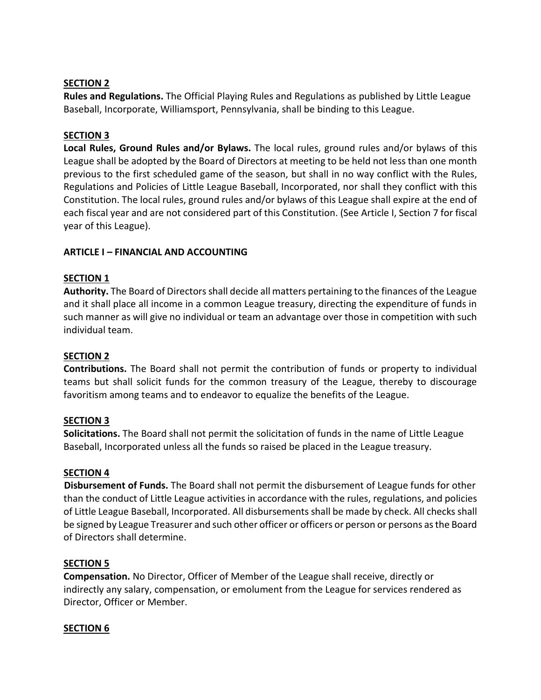**Rules and Regulations.** The Official Playing Rules and Regulations as published by Little League Baseball, Incorporate, Williamsport, Pennsylvania, shall be binding to this League.

## **SECTION 3**

**Local Rules, Ground Rules and/or Bylaws.** The local rules, ground rules and/or bylaws of this League shall be adopted by the Board of Directors at meeting to be held not less than one month previous to the first scheduled game of the season, but shall in no way conflict with the Rules, Regulations and Policies of Little League Baseball, Incorporated, nor shall they conflict with this Constitution. The local rules, ground rules and/or bylaws of this League shall expire at the end of each fiscal year and are not considered part of this Constitution. (See Article I, Section 7 for fiscal year of this League).

## **ARTICLE I – FINANCIAL AND ACCOUNTING**

## **SECTION 1**

**Authority.** The Board of Directors shall decide all matters pertaining to the finances of the League and it shall place all income in a common League treasury, directing the expenditure of funds in such manner as will give no individual or team an advantage over those in competition with such individual team.

## **SECTION 2**

**Contributions.** The Board shall not permit the contribution of funds or property to individual teams but shall solicit funds for the common treasury of the League, thereby to discourage favoritism among teams and to endeavor to equalize the benefits of the League.

## **SECTION 3**

**Solicitations.** The Board shall not permit the solicitation of funds in the name of Little League Baseball, Incorporated unless all the funds so raised be placed in the League treasury.

#### **SECTION 4**

 **Disbursement of Funds.** The Board shall not permit the disbursement of League funds for other than the conduct of Little League activities in accordance with the rules, regulations, and policies of Little League Baseball, Incorporated. All disbursements shall be made by check. All checks shall be signed by League Treasurer and such other officer or officers or person or persons as the Board of Directors shall determine.

## **SECTION 5**

**Compensation.** No Director, Officer of Member of the League shall receive, directly or indirectly any salary, compensation, or emolument from the League for services rendered as Director, Officer or Member.

## **SECTION 6**